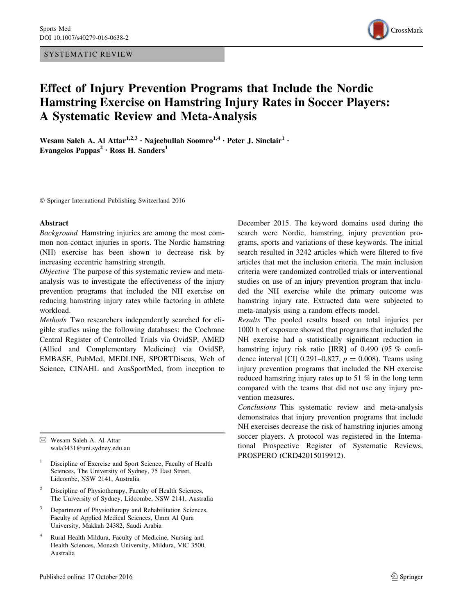SYSTEMATIC REVIEW



# Effect of Injury Prevention Programs that Include the Nordic Hamstring Exercise on Hamstring Injury Rates in Soccer Players: A Systematic Review and Meta-Analysis

Wesam Saleh A. Al Attar<sup>1,2,3</sup> · Najeebullah Soomro<sup>1,4</sup> · Peter J. Sinclair<sup>1</sup> · Evangelos Pappas<sup>2</sup> · Ross H. Sanders<sup>1</sup>

- Springer International Publishing Switzerland 2016

#### Abstract

Background Hamstring injuries are among the most common non-contact injuries in sports. The Nordic hamstring (NH) exercise has been shown to decrease risk by increasing eccentric hamstring strength.

Objective The purpose of this systematic review and metaanalysis was to investigate the effectiveness of the injury prevention programs that included the NH exercise on reducing hamstring injury rates while factoring in athlete workload.

Methods Two researchers independently searched for eligible studies using the following databases: the Cochrane Central Register of Controlled Trials via OvidSP, AMED (Allied and Complementary Medicine) via OvidSP, EMBASE, PubMed, MEDLINE, SPORTDiscus, Web of Science, CINAHL and AusSportMed, from inception to

& Wesam Saleh A. Al Attar wala3431@uni.sydney.edu.au

<sup>1</sup> Discipline of Exercise and Sport Science, Faculty of Health Sciences, The University of Sydney, 75 East Street, Lidcombe, NSW 2141, Australia

- Discipline of Physiotherapy, Faculty of Health Sciences, The University of Sydney, Lidcombe, NSW 2141, Australia
- <sup>3</sup> Department of Physiotherapy and Rehabilitation Sciences, Faculty of Applied Medical Sciences, Umm Al Qura University, Makkah 24382, Saudi Arabia
- <sup>4</sup> Rural Health Mildura, Faculty of Medicine, Nursing and Health Sciences, Monash University, Mildura, VIC 3500, Australia

December 2015. The keyword domains used during the search were Nordic, hamstring, injury prevention programs, sports and variations of these keywords. The initial search resulted in 3242 articles which were filtered to five articles that met the inclusion criteria. The main inclusion criteria were randomized controlled trials or interventional studies on use of an injury prevention program that included the NH exercise while the primary outcome was hamstring injury rate. Extracted data were subjected to meta-analysis using a random effects model.

Results The pooled results based on total injuries per 1000 h of exposure showed that programs that included the NH exercise had a statistically significant reduction in hamstring injury risk ratio [IRR] of 0.490 (95 % confidence interval [CI] 0.291–0.827,  $p = 0.008$ ). Teams using injury prevention programs that included the NH exercise reduced hamstring injury rates up to 51 % in the long term compared with the teams that did not use any injury prevention measures.

Conclusions This systematic review and meta-analysis demonstrates that injury prevention programs that include NH exercises decrease the risk of hamstring injuries among soccer players. A protocol was registered in the International Prospective Register of Systematic Reviews, PROSPERO (CRD42015019912).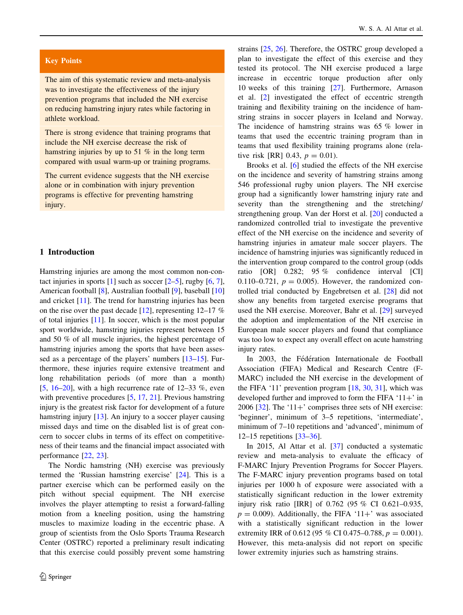# Key Points

The aim of this systematic review and meta-analysis was to investigate the effectiveness of the injury prevention programs that included the NH exercise on reducing hamstring injury rates while factoring in athlete workload.

There is strong evidence that training programs that include the NH exercise decrease the risk of hamstring injuries by up to 51 % in the long term compared with usual warm-up or training programs.

The current evidence suggests that the NH exercise alone or in combination with injury prevention programs is effective for preventing hamstring injury.

### 1 Introduction

Hamstring injuries are among the most common non-contact injuries in sports  $[1]$  $[1]$  such as soccer  $[2-5]$ , rugby  $[6, 7]$  $[6, 7]$  $[6, 7]$  $[6, 7]$ , American football [[8\]](#page-8-0), Australian football [\[9](#page-8-0)], baseball [[10\]](#page-8-0) and cricket [\[11](#page-8-0)]. The trend for hamstring injuries has been on the rise over the past decade [\[12](#page-8-0)], representing  $12-17$  % of total injuries [\[11](#page-8-0)]. In soccer, which is the most popular sport worldwide, hamstring injuries represent between 15 and 50 % of all muscle injuries, the highest percentage of hamstring injuries among the sports that have been asses-sed as a percentage of the players' numbers [[13–15\]](#page-8-0). Furthermore, these injuries require extensive treatment and long rehabilitation periods (of more than a month) [\[5](#page-8-0),  $16-20$ ], with a high recurrence rate of  $12-33$  %, even with preventive procedures [[5,](#page-8-0) [17](#page-8-0), [21\]](#page-8-0). Previous hamstring injury is the greatest risk factor for development of a future hamstring injury [[13\]](#page-8-0). An injury to a soccer player causing missed days and time on the disabled list is of great concern to soccer clubs in terms of its effect on competitiveness of their teams and the financial impact associated with performance [\[22](#page-8-0), [23](#page-8-0)].

The Nordic hamstring (NH) exercise was previously termed the 'Russian hamstring exercise' [[24\]](#page-8-0). This is a partner exercise which can be performed easily on the pitch without special equipment. The NH exercise involves the player attempting to resist a forward-falling motion from a kneeling position, using the hamstring muscles to maximize loading in the eccentric phase. A group of scientists from the Oslo Sports Trauma Research Center (OSTRC) reported a preliminary result indicating that this exercise could possibly prevent some hamstring strains [[25,](#page-8-0) [26](#page-9-0)]. Therefore, the OSTRC group developed a plan to investigate the effect of this exercise and they tested its protocol. The NH exercise produced a large increase in eccentric torque production after only 10 weeks of this training [[27\]](#page-9-0). Furthermore, Arnason et al. [[2\]](#page-8-0) investigated the effect of eccentric strength training and flexibility training on the incidence of hamstring strains in soccer players in Iceland and Norway. The incidence of hamstring strains was 65 % lower in teams that used the eccentric training program than in teams that used flexibility training programs alone (relative risk [RR] 0.43,  $p = 0.01$ ).

Brooks et al. [[6\]](#page-8-0) studied the effects of the NH exercise on the incidence and severity of hamstring strains among 546 professional rugby union players. The NH exercise group had a significantly lower hamstring injury rate and severity than the strengthening and the stretching/ strengthening group. Van der Horst et al. [\[20](#page-8-0)] conducted a randomized controlled trial to investigate the preventive effect of the NH exercise on the incidence and severity of hamstring injuries in amateur male soccer players. The incidence of hamstring injuries was significantly reduced in the intervention group compared to the control group (odds ratio [OR] 0.282; 95 % confidence interval [CI] 0.110–0.721,  $p = 0.005$ . However, the randomized controlled trial conducted by Engebretsen et al. [\[28](#page-9-0)] did not show any benefits from targeted exercise programs that used the NH exercise. Moreover, Bahr et al. [[29\]](#page-9-0) surveyed the adoption and implementation of the NH exercise in European male soccer players and found that compliance was too low to expect any overall effect on acute hamstring injury rates.

In 2003, the Fédération Internationale de Football Association (FIFA) Medical and Research Centre (F-MARC) included the NH exercise in the development of the FIFA '11' prevention program [[18,](#page-8-0) [30](#page-9-0), [31](#page-9-0)], which was developed further and improved to form the FIFA  $'11+'$  in 2006 [ $32$ ]. The '11+' comprises three sets of NH exercise: 'beginner', minimum of 3–5 repetitions, 'intermediate', minimum of 7–10 repetitions and 'advanced', minimum of 12–15 repetitions [\[33–36](#page-9-0)].

In 2015, Al Attar et al. [\[37](#page-9-0)] conducted a systematic review and meta-analysis to evaluate the efficacy of F-MARC Injury Prevention Programs for Soccer Players. The F-MARC injury prevention programs based on total injuries per 1000 h of exposure were associated with a statistically significant reduction in the lower extremity injury risk ratio [IRR] of 0.762 (95 % CI 0.621–0.935,  $p = 0.009$ ). Additionally, the FIFA '11+' was associated with a statistically significant reduction in the lower extremity IRR of 0.612 (95 % CI 0.475–0.788,  $p = 0.001$ ). However, this meta-analysis did not report on specific lower extremity injuries such as hamstring strains.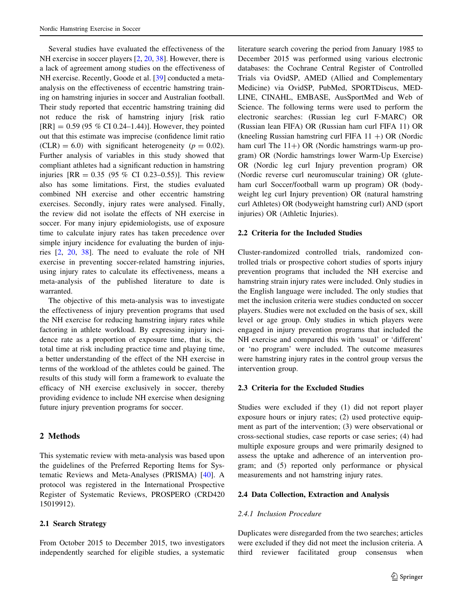Several studies have evaluated the effectiveness of the NH exercise in soccer players [[2,](#page-8-0) [20,](#page-8-0) [38](#page-9-0)]. However, there is a lack of agreement among studies on the effectiveness of NH exercise. Recently, Goode et al. [\[39](#page-9-0)] conducted a metaanalysis on the effectiveness of eccentric hamstring training on hamstring injuries in soccer and Australian football. Their study reported that eccentric hamstring training did not reduce the risk of hamstring injury [risk ratio  $[RR] = 0.59 (95 % CI 0.24–1.44)$ ]. However, they pointed out that this estimate was imprecise (confidence limit ratio  $(CLR) = 6.0$ ) with significant heterogeneity ( $p = 0.02$ ). Further analysis of variables in this study showed that compliant athletes had a significant reduction in hamstring injuries  $[RR = 0.35 (95 % CI 0.23-0.55)].$  This review also has some limitations. First, the studies evaluated combined NH exercise and other eccentric hamstring exercises. Secondly, injury rates were analysed. Finally, the review did not isolate the effects of NH exercise in soccer. For many injury epidemiologists, use of exposure time to calculate injury rates has taken precedence over simple injury incidence for evaluating the burden of injuries [\[2](#page-8-0), [20,](#page-8-0) [38\]](#page-9-0). The need to evaluate the role of NH exercise in preventing soccer-related hamstring injuries, using injury rates to calculate its effectiveness, means a meta-analysis of the published literature to date is warranted.

The objective of this meta-analysis was to investigate the effectiveness of injury prevention programs that used the NH exercise for reducing hamstring injury rates while factoring in athlete workload. By expressing injury incidence rate as a proportion of exposure time, that is, the total time at risk including practice time and playing time, a better understanding of the effect of the NH exercise in terms of the workload of the athletes could be gained. The results of this study will form a framework to evaluate the efficacy of NH exercise exclusively in soccer, thereby providing evidence to include NH exercise when designing future injury prevention programs for soccer.

# 2 Methods

This systematic review with meta-analysis was based upon the guidelines of the Preferred Reporting Items for Systematic Reviews and Meta-Analyses (PRISMA) [\[40](#page-9-0)]. A protocol was registered in the International Prospective Register of Systematic Reviews, PROSPERO (CRD420 15019912).

## 2.1 Search Strategy

From October 2015 to December 2015, two investigators independently searched for eligible studies, a systematic literature search covering the period from January 1985 to December 2015 was performed using various electronic databases: the Cochrane Central Register of Controlled Trials via OvidSP, AMED (Allied and Complementary Medicine) via OvidSP, PubMed, SPORTDiscus, MED-LINE, CINAHL, EMBASE, AusSportMed and Web of Science. The following terms were used to perform the electronic searches: (Russian leg curl F-MARC) OR (Russian lean FIFA) OR (Russian ham curl FIFA 11) OR (kneeling Russian hamstring curl FIFA  $11 +$ ) OR (Nordic ham curl The  $11+$ ) OR (Nordic hamstrings warm-up program) OR (Nordic hamstrings lower Warm-Up Exercise) OR (Nordic leg curl Injury prevention program) OR (Nordic reverse curl neuromuscular training) OR (gluteham curl Soccer/football warm up program) OR (bodyweight leg curl Injury prevention) OR (natural hamstring curl Athletes) OR (bodyweight hamstring curl) AND (sport injuries) OR (Athletic Injuries).

### 2.2 Criteria for the Included Studies

Cluster-randomized controlled trials, randomized controlled trials or prospective cohort studies of sports injury prevention programs that included the NH exercise and hamstring strain injury rates were included. Only studies in the English language were included. The only studies that met the inclusion criteria were studies conducted on soccer players. Studies were not excluded on the basis of sex, skill level or age group. Only studies in which players were engaged in injury prevention programs that included the NH exercise and compared this with 'usual' or 'different' or 'no program' were included. The outcome measures were hamstring injury rates in the control group versus the intervention group.

### 2.3 Criteria for the Excluded Studies

Studies were excluded if they (1) did not report player exposure hours or injury rates; (2) used protective equipment as part of the intervention; (3) were observational or cross-sectional studies, case reports or case series; (4) had multiple exposure groups and were primarily designed to assess the uptake and adherence of an intervention program; and (5) reported only performance or physical measurements and not hamstring injury rates.

### 2.4 Data Collection, Extraction and Analysis

### 2.4.1 Inclusion Procedure

Duplicates were disregarded from the two searches; articles were excluded if they did not meet the inclusion criteria. A third reviewer facilitated group consensus when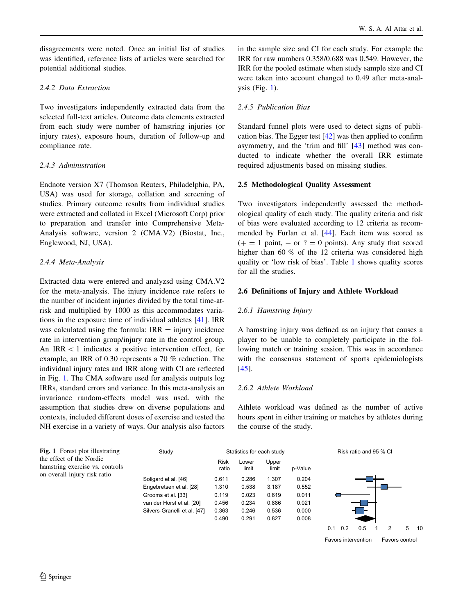<span id="page-3-0"></span>disagreements were noted. Once an initial list of studies was identified, reference lists of articles were searched for potential additional studies.

# 2.4.2 Data Extraction

Two investigators independently extracted data from the selected full-text articles. Outcome data elements extracted from each study were number of hamstring injuries (or injury rates), exposure hours, duration of follow-up and compliance rate.

# 2.4.3 Administration

Endnote version X7 (Thomson Reuters, Philadelphia, PA, USA) was used for storage, collation and screening of studies. Primary outcome results from individual studies were extracted and collated in Excel (Microsoft Corp) prior to preparation and transfer into Comprehensive Meta-Analysis software, version 2 (CMA.V2) (Biostat, Inc., Englewood, NJ, USA).

# 2.4.4 Meta-Analysis

Extracted data were entered and analyzsd using CMA.V2 for the meta-analysis. The injury incidence rate refers to the number of incident injuries divided by the total time-atrisk and multiplied by 1000 as this accommodates variations in the exposure time of individual athletes [\[41](#page-9-0)]. IRR was calculated using the formula:  $IRR =$  injury incidence rate in intervention group/injury rate in the control group. An  $IRR < 1$  indicates a positive intervention effect, for example, an IRR of 0.30 represents a 70 % reduction. The individual injury rates and IRR along with CI are reflected in Fig. 1. The CMA software used for analysis outputs log IRRs, standard errors and variance. In this meta-analysis an invariance random-effects model was used, with the assumption that studies drew on diverse populations and contexts, included different doses of exercise and tested the NH exercise in a variety of ways. Our analysis also factors in the sample size and CI for each study. For example the IRR for raw numbers 0.358/0.688 was 0.549. However, the IRR for the pooled estimate when study sample size and CI were taken into account changed to 0.49 after meta-anal $visis$  (Fig. 1).

# 2.4.5 Publication Bias

Standard funnel plots were used to detect signs of publication bias. The Egger test [[42\]](#page-9-0) was then applied to confirm asymmetry, and the 'trim and fill' [[43\]](#page-9-0) method was conducted to indicate whether the overall IRR estimate required adjustments based on missing studies.

# 2.5 Methodological Quality Assessment

Two investigators independently assessed the methodological quality of each study. The quality criteria and risk of bias were evaluated according to 12 criteria as recommended by Furlan et al. [\[44](#page-9-0)]. Each item was scored as  $(+) = 1$  point,  $-$  or  $? = 0$  points). Any study that scored higher than 60 % of the 12 criteria was considered high quality or 'low risk of bias'. Table [1](#page-4-0) shows quality scores for all the studies.

# 2.6 Definitions of Injury and Athlete Workload

# 2.6.1 Hamstring Injury

A hamstring injury was defined as an injury that causes a player to be unable to completely participate in the following match or training session. This was in accordance with the consensus statement of sports epidemiologists [\[45](#page-9-0)].

# 2.6.2 Athlete Workload

Athlete workload was defined as the number of active hours spent in either training or matches by athletes during the course of the study.



Favors intervention Favors control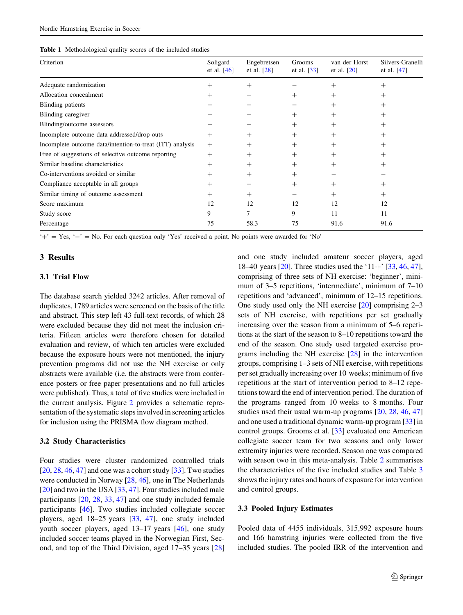<span id="page-4-0"></span>

| Criterion                                                 | Soligard<br>et al. $[46]$ | Engebretsen<br>et al. $[28]$ | Grooms<br>et al. $[33]$ | van der Horst<br>et al. $[20]$ | Silvers-Granelli<br>et al. $[47]$ |
|-----------------------------------------------------------|---------------------------|------------------------------|-------------------------|--------------------------------|-----------------------------------|
| Adequate randomization                                    | $^+$                      | $+$                          |                         | $^{+}$                         | $\! +$                            |
| Allocation concealment                                    | $^+$                      |                              | $^+$                    | $^+$                           | $^+$                              |
| Blinding patients                                         |                           |                              |                         | $^{+}$                         | $^+$                              |
| Blinding caregiver                                        |                           |                              |                         | $^+$                           | $^+$                              |
| Blinding/outcome assessors                                |                           |                              | $^{+}$                  | $^+$                           | $^+$                              |
| Incomplete outcome data addressed/drop-outs               | $^{+}$                    | $^{+}$                       | $^{+}$                  | $^+$                           | $^+$                              |
| Incomplete outcome data/intention-to-treat (ITT) analysis | $^{+}$                    | $^{+}$                       | $^{+}$                  | $^{+}$                         | $^{+}$                            |
| Free of suggestions of selective outcome reporting        | $^{+}$                    | $^{+}$                       | $^{+}$                  | $^{+}$                         | $^+$                              |
| Similar baseline characteristics                          | $^{+}$                    | $^{+}$                       | $^+$                    | $^{+}$                         | $^+$                              |
| Co-interventions avoided or similar                       | $\! +$                    | $^{+}$                       | $^{+}$                  |                                |                                   |
| Compliance acceptable in all groups                       | $^+$                      |                              | $^{+}$                  | $^+$                           | $\! +$                            |
| Similar timing of outcome assessment                      | $\! +$                    | $^{+}$                       |                         | $^+$                           | $^{+}$                            |
| Score maximum                                             | 12                        | 12                           | 12                      | 12                             | 12                                |
| Study score                                               | 9                         |                              | 9                       | 11                             | 11                                |
| Percentage                                                | 75                        | 58.3                         | 75                      | 91.6                           | 91.6                              |

 $'+' = Yes$ ,  $'-' = No$ . For each question only 'Yes' received a point. No points were awarded for 'No'

### 3 Results

### 3.1 Trial Flow

The database search yielded 3242 articles. After removal of duplicates, 1789 articles were screened on the basis of the title and abstract. This step left 43 full-text records, of which 28 were excluded because they did not meet the inclusion criteria. Fifteen articles were therefore chosen for detailed evaluation and review, of which ten articles were excluded because the exposure hours were not mentioned, the injury prevention programs did not use the NH exercise or only abstracts were available (i.e. the abstracts were from conference posters or free paper presentations and no full articles were published). Thus, a total of five studies were included in the current analysis. Figure [2](#page-5-0) provides a schematic representation of the systematic steps involved in screening articles for inclusion using the PRISMA flow diagram method.

#### 3.2 Study Characteristics

Four studies were cluster randomized controlled trials  $[20, 28, 46, 47]$  $[20, 28, 46, 47]$  $[20, 28, 46, 47]$  $[20, 28, 46, 47]$  $[20, 28, 46, 47]$  $[20, 28, 46, 47]$  $[20, 28, 46, 47]$  $[20, 28, 46, 47]$  and one was a cohort study  $[33]$  $[33]$ . Two studies were conducted in Norway [[28,](#page-9-0) [46](#page-9-0)], one in The Netherlands [\[20](#page-8-0)] and two in the USA [\[33](#page-9-0), [47](#page-9-0)]. Four studies included male participants [[20,](#page-8-0) [28](#page-9-0), [33](#page-9-0), [47\]](#page-9-0) and one study included female participants [[46\]](#page-9-0). Two studies included collegiate soccer players, aged 18–25 years [[33,](#page-9-0) [47](#page-9-0)], one study included youth soccer players, aged 13–17 years [\[46](#page-9-0)], one study included soccer teams played in the Norwegian First, Second, and top of the Third Division, aged 17–35 years [[28\]](#page-9-0) and one study included amateur soccer players, aged 18–40 years [[20\]](#page-8-0). Three studies used the '11+' [\[33](#page-9-0), [46,](#page-9-0) [47](#page-9-0)], comprising of three sets of NH exercise: 'beginner', minimum of 3–5 repetitions, 'intermediate', minimum of 7–10 repetitions and 'advanced', minimum of 12–15 repetitions. One study used only the NH exercise [[20\]](#page-8-0) comprising 2–3 sets of NH exercise, with repetitions per set gradually increasing over the season from a minimum of 5–6 repetitions at the start of the season to 8–10 repetitions toward the end of the season. One study used targeted exercise programs including the NH exercise [[28\]](#page-9-0) in the intervention groups, comprising 1–3 sets of NH exercise, with repetitions per set gradually increasing over 10 weeks; minimum of five repetitions at the start of intervention period to 8–12 repetitions toward the end of intervention period. The duration of the programs ranged from 10 weeks to 8 months. Four studies used their usual warm-up programs [\[20](#page-8-0), [28,](#page-9-0) [46,](#page-9-0) [47\]](#page-9-0) and one used a traditional dynamic warm-up program [\[33](#page-9-0)] in control groups. Grooms et al. [\[33](#page-9-0)] evaluated one American collegiate soccer team for two seasons and only lower extremity injuries were recorded. Season one was compared with season two in this meta-analysis. Table [2](#page-6-0) summarises the characteristics of the five included studies and Table [3](#page-7-0) shows the injury rates and hours of exposure for intervention and control groups.

### 3.3 Pooled Injury Estimates

Pooled data of 4455 individuals, 315,992 exposure hours and 166 hamstring injuries were collected from the five included studies. The pooled IRR of the intervention and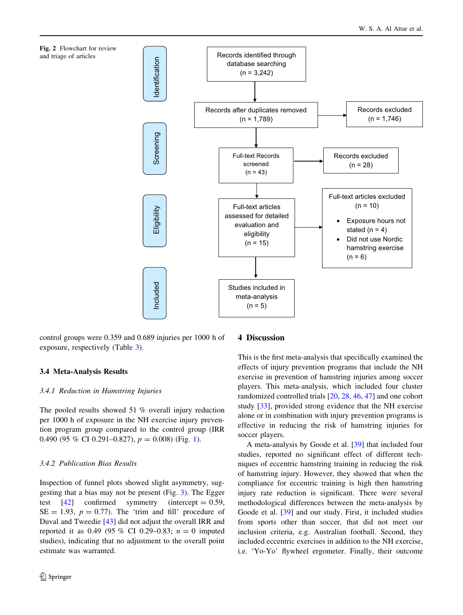<span id="page-5-0"></span>

control groups were 0.359 and 0.689 injuries per 1000 h of exposure, respectively (Table [3](#page-7-0)).

### 3.4 Meta-Analysis Results

#### 3.4.1 Reduction in Hamstring Injuries

The pooled results showed 51 % overall injury reduction per 1000 h of exposure in the NH exercise injury prevention program group compared to the control group (IRR 0.490 (95 % CI 0.29[1](#page-3-0)–0.827),  $p = 0.008$  (Fig. 1).

### 3.4.2 Publication Bias Results

Inspection of funnel plots showed slight asymmetry, suggesting that a bias may not be present (Fig. [3](#page-7-0)). The Egger test  $[42]$  $[42]$  confirmed symmetry (intercept  $= 0.59$ ,  $SE = 1.93$ ,  $p = 0.77$ ). The 'trim and fill' procedure of Duval and Tweedie [[43\]](#page-9-0) did not adjust the overall IRR and reported it as 0.49 (95 % CI 0.29–0.83;  $n = 0$  imputed studies), indicating that no adjustment to the overall point estimate was warranted.

#### 4 Discussion

This is the first meta-analysis that specifically examined the effects of injury prevention programs that include the NH exercise in prevention of hamstring injuries among soccer players. This meta-analysis, which included four cluster randomized controlled trials [[20,](#page-8-0) [28,](#page-9-0) [46](#page-9-0), [47](#page-9-0)] and one cohort study [\[33](#page-9-0)], provided strong evidence that the NH exercise alone or in combination with injury prevention programs is effective in reducing the risk of hamstring injuries for soccer players.

A meta-analysis by Goode et al. [\[39](#page-9-0)] that included four studies, reported no significant effect of different techniques of eccentric hamstring training in reducing the risk of hamstring injury. However, they showed that when the compliance for eccentric training is high then hamstring injury rate reduction is significant. There were several methodological differences between the meta-analysis by Goode et al. [\[39](#page-9-0)] and our study. First, it included studies from sports other than soccer, that did not meet our inclusion criteria, e.g. Australian football. Second, they included eccentric exercises in addition to the NH exercise, i.e. 'Yo-Yo' flywheel ergometer. Finally, their outcome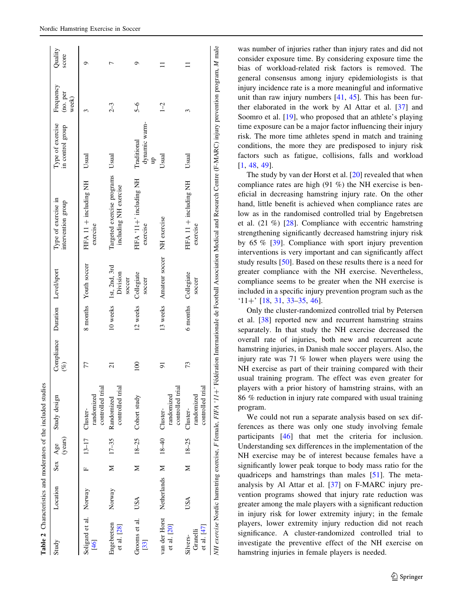<span id="page-6-0"></span>

|                                     |               |    |                    | Table 2 Characteristics and moderators of the included studies |                                           |          |                                     |                                                                                                                                                                                      |                                      |                                |                  |
|-------------------------------------|---------------|----|--------------------|----------------------------------------------------------------|-------------------------------------------|----------|-------------------------------------|--------------------------------------------------------------------------------------------------------------------------------------------------------------------------------------|--------------------------------------|--------------------------------|------------------|
| Study                               | Location      |    | (years)<br>Sex Age | Study design                                                   | Compliance Duration Level/sport<br>$(\%)$ |          |                                     | Type of exercise in<br>intervention group                                                                                                                                            | Type of exercise<br>in control group | Frequency<br>(no. per<br>week) | Quality<br>score |
| Soligard et al. Norway<br>$[46]$    |               | L. | $13 - 17$          | controlled trial<br>randomized<br>Cluster-                     | 77                                        | 8 months | Youth soccer                        | FIFA 11 + including NH<br>exercise                                                                                                                                                   | Usual                                | $\tilde{ }$                    | っ                |
| Engebretsen<br>et al. [28]          | Norway        | ⋝  | $17 - 35$          | controlled trial<br>Randomized                                 | $\overline{c}$                            | 10 weeks | 1st, 2nd, 3rd<br>Division<br>soccer | Targeted exercise programs<br>including NH exercise                                                                                                                                  | Usual                                | $2 - 3$                        | ŗ                |
| Grooms et al.<br>$[33]$             | USA           | z  |                    | 18-25 Cohort study                                             | 100                                       | 12 weeks | Collegiate<br>soccer                | FIFA '11+' including NH<br>exercise                                                                                                                                                  | dynamic warm-<br>Traditional<br>qu   | $5 - 6$                        | ۰                |
| van der Horst<br>et al. [20]        | Netherlands M |    | $18 - 40$          | controlled trial<br>randomized<br>Cluster-                     | 51                                        |          | 13 weeks Amateur soccer             | NH exercise                                                                                                                                                                          | Usual                                | $1 - 2$                        |                  |
| et al. [47]<br>Granelli<br>Silvers- | USA           | ⊠  | $18 - 25$          | controlled trial<br>randomized<br>Cluster-                     | 73                                        | 6 months | Collegiate<br>soccer                | FIFA 11 + including NH<br>exercise                                                                                                                                                   | Usual                                | 3                              |                  |
|                                     |               |    |                    |                                                                |                                           |          |                                     | NH exercise Nordic hamstring exercise, F female, FIFA '11+' Fédération Internationale de Football Association Medical and Research Centre (F-MARC) injury prevention program, M male |                                      |                                |                  |

was number of injuries rather than injury rates and did not consider exposure time. By considering exposure time the bias of workload-related risk factors is removed. The general consensus among injury epidemiologists is that injury incidence rate is a more meaningful and informative unit than raw injury numbers [\[41](#page-9-0), [45](#page-9-0)]. This has been further elaborated in the work by Al Attar et al. [[37\]](#page-9-0) and Soomro et al. [\[19](#page-8-0)], who proposed that an athlete's playing time exposure can be a major factor influencing their injury risk. The more time athletes spend in match and training conditions, the more they are predisposed to injury risk factors such as fatigue, collisions, falls and workload [\[1](#page-8-0), [48](#page-9-0), [49](#page-9-0)].

The study by van der Horst et al. [\[20](#page-8-0)] revealed that when compliance rates are high (91 %) the NH exercise is beneficial in decreasing hamstring injury rate. On the other hand, little benefit is achieved when compliance rates are low as in the randomised controlled trial by Engebretsen et al. (21 %) [\[28](#page-9-0)]. Compliance with eccentric hamstring strengthening significantly decreased hamstring injury risk by 65 % [[39\]](#page-9-0). Compliance with sport injury prevention interventions is very important and can significantly affect study results [\[50](#page-9-0)]. Based on these results there is a need for greater compliance with the NH exercise. Nevertheless, compliance seems to be greater when the NH exercise is included in a specific injury prevention program such as the  $'11+'$  [\[18](#page-8-0), [31,](#page-9-0) [33–35,](#page-9-0) [46\]](#page-9-0).

Only the cluster-randomized controlled trial by Petersen et al. [[38\]](#page-9-0) reported new and recurrent hamstring strains separately. In that study the NH exercise decreased the overall rate of injuries, both new and recurrent acute hamstring injuries, in Danish male soccer players. Also, the injury rate was 71 % lower when players were using the NH exercise as part of their training compared with their usual training program. The effect was even greater for players with a prior history of hamstring strains, with an 86 % reduction in injury rate compared with usual training program.

We could not run a separate analysis based on sex differences as there was only one study involving female participants [[46\]](#page-9-0) that met the criteria for inclusion. Understanding sex differences in the implementation of the NH exercise may be of interest because females have a significantly lower peak torque to body mass ratio for the quadriceps and hamstrings than males [\[51](#page-9-0)]. The metaanalysis by Al Attar et al. [\[37](#page-9-0)] on F-MARC injury prevention programs showed that injury rate reduction was greater among the male players with a significant reduction in injury risk for lower extremity injury; in the female players, lower extremity injury reduction did not reach significance. A cluster-randomized controlled trial to investigate the preventive effect of the NH exercise on hamstring injuries in female players is needed.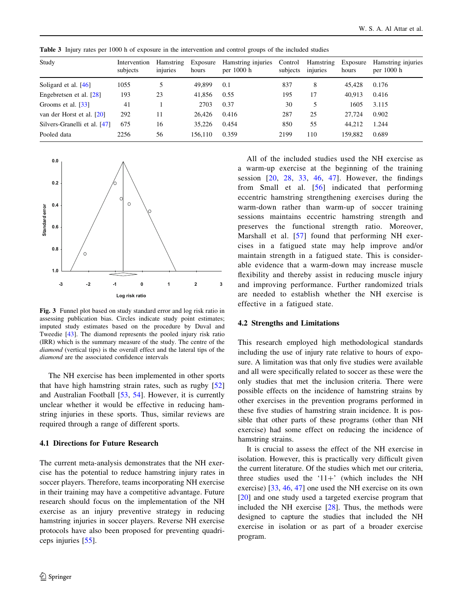| Study                        | Intervention<br>subjects | Hamstring<br>injuries | Exposure<br>hours | Hamstring injuries<br>per $1000 h$ | Control<br>subjects | Hamstring<br>injuries | Exposure<br>hours | Hamstring injuries<br>per $1000 h$ |
|------------------------------|--------------------------|-----------------------|-------------------|------------------------------------|---------------------|-----------------------|-------------------|------------------------------------|
| Soligard et al. $[46]$       | 1055                     |                       | 49,899            | 0.1                                | 837                 | 8                     | 45.428            | 0.176                              |
| Engebretsen et al. $[28]$    | 193                      | 23                    | 41,856            | 0.55                               | 195                 | 17                    | 40.913            | 0.416                              |
| Grooms et al. [33]           | 41                       |                       | 2703              | 0.37                               | 30                  | 5                     | 1605              | 3.115                              |
| van der Horst et al. [20]    | 292                      | 11                    | 26.426            | 0.416                              | 287                 | 25                    | 27.724            | 0.902                              |
| Silvers-Granelli et al. [47] | 675                      | 16                    | 35.226            | 0.454                              | 850                 | 55                    | 44.212            | 1.244                              |
| Pooled data                  | 2256                     | 56                    | 156.110           | 0.359                              | 2199                | 110                   | 159.882           | 0.689                              |

<span id="page-7-0"></span>Table 3 Injury rates per 1000 h of exposure in the intervention and control groups of the included studies



Fig. 3 Funnel plot based on study standard error and log risk ratio in assessing publication bias. Circles indicate study point estimates; imputed study estimates based on the procedure by Duval and Tweedie [[43](#page-9-0)]. The diamond represents the pooled injury risk ratio (IRR) which is the summary measure of the study. The centre of the diamond (vertical tips) is the overall effect and the lateral tips of the diamond are the associated confidence intervals

The NH exercise has been implemented in other sports that have high hamstring strain rates, such as rugby [[52\]](#page-9-0) and Australian Football [[53,](#page-9-0) [54](#page-9-0)]. However, it is currently unclear whether it would be effective in reducing hamstring injuries in these sports. Thus, similar reviews are required through a range of different sports.

### 4.1 Directions for Future Research

The current meta-analysis demonstrates that the NH exercise has the potential to reduce hamstring injury rates in soccer players. Therefore, teams incorporating NH exercise in their training may have a competitive advantage. Future research should focus on the implementation of the NH exercise as an injury preventive strategy in reducing hamstring injuries in soccer players. Reverse NH exercise protocols have also been proposed for preventing quadriceps injuries [[55\]](#page-9-0).

All of the included studies used the NH exercise as a warm-up exercise at the beginning of the training session [[20](#page-8-0), [28](#page-9-0), [33,](#page-9-0) [46,](#page-9-0) [47](#page-9-0)]. However, the findings from Small et al. [[56](#page-9-0)] indicated that performing eccentric hamstring strengthening exercises during the warm-down rather than warm-up of soccer training sessions maintains eccentric hamstring strength and preserves the functional strength ratio. Moreover, Marshall et al. [[57](#page-9-0)] found that performing NH exercises in a fatigued state may help improve and/or maintain strength in a fatigued state. This is considerable evidence that a warm-down may increase muscle flexibility and thereby assist in reducing muscle injury and improving performance. Further randomized trials are needed to establish whether the NH exercise is effective in a fatigued state.

#### 4.2 Strengths and Limitations

This research employed high methodological standards including the use of injury rate relative to hours of exposure. A limitation was that only five studies were available and all were specifically related to soccer as these were the only studies that met the inclusion criteria. There were possible effects on the incidence of hamstring strains by other exercises in the prevention programs performed in these five studies of hamstring strain incidence. It is possible that other parts of these programs (other than NH exercise) had some effect on reducing the incidence of hamstring strains.

It is crucial to assess the effect of the NH exercise in isolation. However, this is practically very difficult given the current literature. Of the studies which met our criteria, three studies used the ' $11+$ ' (which includes the NH exercise) [\[33,](#page-9-0) [46,](#page-9-0) [47](#page-9-0)] one used the NH exercise on its own [\[20](#page-8-0)] and one study used a targeted exercise program that included the NH exercise [[28\]](#page-9-0). Thus, the methods were designed to capture the studies that included the NH exercise in isolation or as part of a broader exercise program.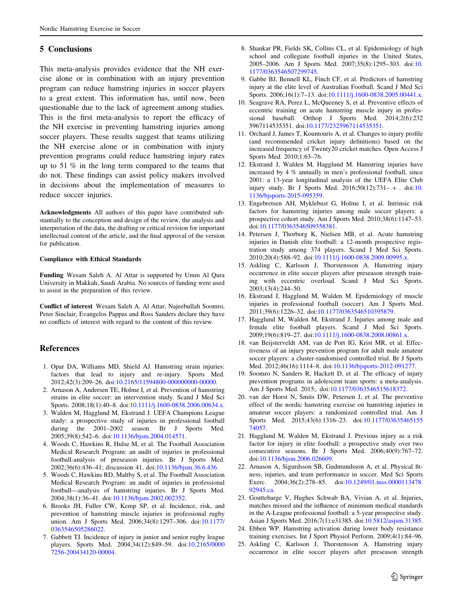# <span id="page-8-0"></span>5 Conclusions

This meta-analysis provides evidence that the NH exercise alone or in combination with an injury prevention program can reduce hamstring injuries in soccer players to a great extent. This information has, until now, been questionable due to the lack of agreement among studies. This is the first meta-analysis to report the efficacy of the NH exercise in preventing hamstring injuries among soccer players. These results suggest that teams utilizing the NH exercise alone or in combination with injury prevention programs could reduce hamstring injury rates up to 51 % in the long term compared to the teams that do not. These findings can assist policy makers involved in decisions about the implementation of measures to reduce soccer injuries.

Acknowledgments All authors of this paper have contributed substantially to the conception and design of the review, the analysis and interpretation of the data, the drafting or critical revision for important intellectual content of the article, and the final approval of the version for publication.

#### Compliance with Ethical Standards

Funding Wesam Saleh A. Al Attar is supported by Umm Al Qura University in Makkah, Saudi Arabia. No sources of funding were used to assist in the preparation of this review.

Conflict of interest Wesam Saleh A. Al Attar, Najeebullah Soomro, Peter Sinclair, Evangelos Pappas and Ross Sanders declare they have no conflicts of interest with regard to the content of this review.

### References

- 1. Opar DA, Williams MD, Shield AJ. Hamstring strain injuries: factors that lead to injury and re-injury. Sports Med. 2012;42(3):209–26. doi[:10.2165/11594800-000000000-00000.](http://dx.doi.org/10.2165/11594800-000000000-00000)
- 2. Arnason A, Andersen TE, Holme I, et al. Prevention of hamstring strains in elite soccer: an intervention study. Scand J Med Sci Sports. 2008;18(1):40-8. doi[:10.1111/j.1600-0838.2006.00634.x](http://dx.doi.org/10.1111/j.1600-0838.2006.00634.x).
- 3. Walden M, Hagglund M, Ekstrand J. UEFA Champions League study: a prospective study of injuries in professional football during the 2001–2002 season. Br J Sports Med. 2005;39(8):542–6. doi[:10.1136/bjsm.2004.014571.](http://dx.doi.org/10.1136/bjsm.2004.014571)
- 4. Woods C, Hawkins R, Hulse M, et al. The Football Association Medical Research Program: an audit of injuries in professional football-analysis of preseason injuries. Br J Sports Med. 2002;36(6):436–41; discussion 41. doi[:10.1136/bjsm.36.6.436](http://dx.doi.org/10.1136/bjsm.36.6.436).
- 5. Woods C, Hawkins RD, Maltby S, et al. The Football Association Medical Research Program: an audit of injuries in professional football—analysis of hamstring injuries. Br J Sports Med. 2004;38(1):36–41. doi[:10.1136/bjsm.2002.002352.](http://dx.doi.org/10.1136/bjsm.2002.002352)
- 6. Brooks JH, Fuller CW, Kemp SP, et al. Incidence, risk, and prevention of hamstring muscle injuries in professional rugby union. Am J Sports Med. 2006;34(8):1297–306. doi[:10.1177/](http://dx.doi.org/10.1177/0363546505286022) [0363546505286022](http://dx.doi.org/10.1177/0363546505286022).
- 7. Gabbett TJ. Incidence of injury in junior and senior rugby league players. Sports Med. 2004;34(12):849–59. doi[:10.2165/0000](http://dx.doi.org/10.2165/00007256-200434120-00004) [7256-200434120-00004.](http://dx.doi.org/10.2165/00007256-200434120-00004)
- 8. Shankar PR, Fields SK, Collins CL, et al. Epidemiology of high school and collegiate football injuries in the United States, 2005–2006. Am J Sports Med. 2007;35(8):1295–303. doi:[10.](http://dx.doi.org/10.1177/0363546507299745) [1177/0363546507299745.](http://dx.doi.org/10.1177/0363546507299745)
- 9. Gabbe BJ, Bennell KL, Finch CF, et al. Predictors of hamstring injury at the elite level of Australian Football. Scand J Med Sci Sports. 2006;16(1):7-13. doi[:10.1111/j.1600-0838.2005.00441.x](http://dx.doi.org/10.1111/j.1600-0838.2005.00441.x).
- 10. Seagrave RA, Perez L, McQueeney S, et al. Preventive effects of eccentric training on acute hamstring muscle injury in professional baseball. Orthop J Sports Med. 2014;2(6):232 5967114535351. doi:[10.1177/2325967114535351.](http://dx.doi.org/10.1177/2325967114535351)
- 11. Orchard J, James T, Kountouris A, et al. Changes to injury profile (and recommended cricket injury definitions) based on the increased frequency of Twenty20 cricket matches. Open Access J Sports Med. 2010;1:63–76.
- 12. Ekstrand J, Walden M, Hagglund M. Hamstring injuries have increased by 4 % annually in men's professional football, since 2001: a 13-year longitudinal analysis of the UEFA Elite Club injury study. Br J Sports Med.  $2016;50(12):731-+$ . doi:[10.](http://dx.doi.org/10.1136/bjsports-2015-095359) [1136/bjsports-2015-095359.](http://dx.doi.org/10.1136/bjsports-2015-095359)
- 13. Engebretsen AH, Myklebust G, Holme I, et al. Intrinsic risk factors for hamstring injuries among male soccer players: a prospective cohort study. Am J Sports Med. 2010;38(6):1147–53. doi:[10.1177/0363546509358381.](http://dx.doi.org/10.1177/0363546509358381)
- 14. Petersen J, Thorborg K, Nielsen MB, et al. Acute hamstring injuries in Danish elite football: a 12-month prospective registration study among 374 players. Scand J Med Sci Sports. 2010;20(4):588–92. doi[:10.1111/j.1600-0838.2009.00995.x](http://dx.doi.org/10.1111/j.1600-0838.2009.00995.x).
- 15. Askling C, Karlsson J, Thorstensson A. Hamstring injury occurrence in elite soccer players after preseason strength training with eccentric overload. Scand J Med Sci Sports. 2003;13(4):244–50.
- 16. Ekstrand J, Hagglund M, Walden M. Epidemiology of muscle injuries in professional football (soccer). Am J Sports Med. 2011;39(6):1226–32. doi:[10.1177/0363546510395879](http://dx.doi.org/10.1177/0363546510395879).
- 17. Hagglund M, Walden M, Ekstrand J. Injuries among male and female elite football players. Scand J Med Sci Sports. 2009;19(6):819–27. doi[:10.1111/j.1600-0838.2008.00861.x](http://dx.doi.org/10.1111/j.1600-0838.2008.00861.x).
- 18. van Beijsterveldt AM, van de Port IG, Krist MR, et al. Effectiveness of an injury prevention program for adult male amateur soccer players: a cluster-randomised controlled trial. Br J Sports Med. 2012;46(16):1114–8. doi[:10.1136/bjsports-2012-091277.](http://dx.doi.org/10.1136/bjsports-2012-091277)
- 19. Soomro N, Sanders R, Hackett D, et al. The efficacy of injury prevention programs in adolescent team sports: a meta-analysis. Am J Sports Med. 2015;. doi:[10.1177/0363546515618372](http://dx.doi.org/10.1177/0363546515618372).
- 20. van der Horst N, Smits DW, Petersen J, et al. The preventive effect of the nordic hamstring exercise on hamstring injuries in amateur soccer players: a randomized controlled trial. Am J Sports Med. 2015;43(6):1316–23. doi:[10.1177/03635465155](http://dx.doi.org/10.1177/0363546515574057) [74057.](http://dx.doi.org/10.1177/0363546515574057)
- 21. Hagglund M, Walden M, Ekstrand J. Previous injury as a risk factor for injury in elite football: a prospective study over two consecutive seasons. Br J Sports Med. 2006;40(9):767–72. doi:[10.1136/bjsm.2006.026609.](http://dx.doi.org/10.1136/bjsm.2006.026609)
- 22. Arnason A, Sigurdsson SB, Gudmundsson A, et al. Physical fitness, injuries, and team performance in soccer. Med Sci Sports Exerc. 2004;36(2):278–85. doi[:10.1249/01.mss.0000113478.](http://dx.doi.org/10.1249/01.mss.0000113478.92945.ca) [92945.ca.](http://dx.doi.org/10.1249/01.mss.0000113478.92945.ca)
- 23. Gouttebarge V, Hughes Schwab BA, Vivian A, et al. Injuries, matches missed and the influence of minimum medical standards in the A-League professional football: a 5-year prospective study. Asian J Sports Med. 2016;7(1):e31385. doi:[10.5812/asjsm.31385](http://dx.doi.org/10.5812/asjsm.31385).
- 24. Ebben WP. Hamstring activation during lower body resistance training exercises. Int J Sport Physiol Perform. 2009;4(1):84–96.
- 25. Askling C, Karlsson J, Thorstensson A. Hamstring injury occurrence in elite soccer players after preseason strength